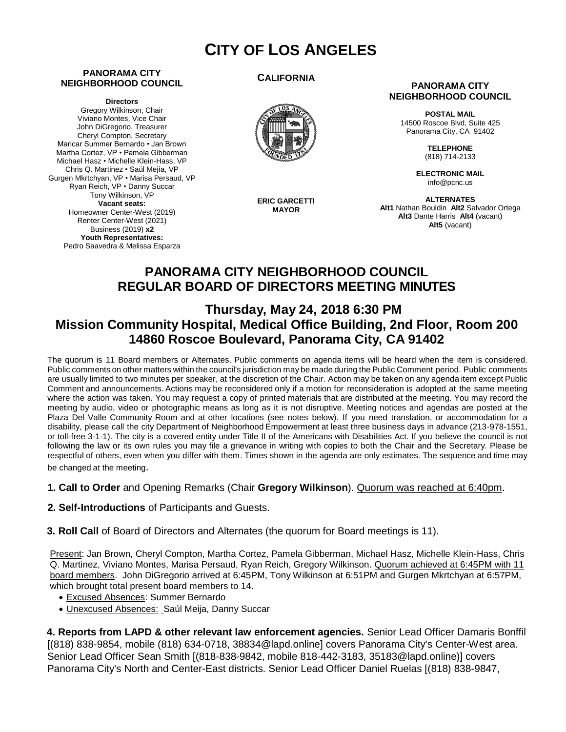# **CITY OF LOS ANGELES**

#### **PANORAMA CITY NEIGHBORHOOD COUNCIL**

**Directors**

Gregory Wilkinson, Chair Viviano Montes, Vice Chair John DiGregorio, Treasurer Cheryl Compton, Secretary Maricar Summer Bernardo • Jan Brown Martha Cortez, VP • Pamela Gibberman Michael Hasz • Michelle Klein-Hass, VP Chris Q. Martinez • Saúl Mejía, VP Gurgen Mkrtchyan, VP • Marisa Persaud, VP Ryan Reich, VP • Danny Succar Tony Wilkinson, VP **Vacant seats:**  Homeowner Center-West (2019) Renter Center-West (2021) Business (2019) **x2 Youth Representatives:**  Pedro Saavedra & Melissa Esparza

**CALIFORNIA**



**ERIC GARCETTI MAYOR**

#### **PANORAMA CITY NEIGHBORHOOD COUNCIL**

**POSTAL MAIL** 14500 Roscoe Blvd, Suite 425 Panorama City, CA 91402

> **TELEPHONE** (818) 714-2133

**ELECTRONIC MAIL** info@pcnc.us

**ALTERNATES Alt1** Nathan Bouldin **Alt2** Salvador Ortega **Alt3** Dante Harris **Alt4** (vacant) **Alt5** (vacant)

# **PANORAMA CITY NEIGHBORHOOD COUNCIL REGULAR BOARD OF DIRECTORS MEETING MINUTES**

# **Thursday, May 24, 2018 6:30 PM Mission Community Hospital, Medical Office Building, 2nd Floor, Room 200 14860 Roscoe Boulevard, Panorama City, CA 91402**

The quorum is 11 Board members or Alternates. Public comments on agenda items will be heard when the item is considered. Public comments on other matters within the council's jurisdiction may be made during the Public Comment period. Public comments are usually limited to two minutes per speaker, at the discretion of the Chair. Action may be taken on any agenda item except Public Comment and announcements. Actions may be reconsidered only if a motion for reconsideration is adopted at the same meeting where the action was taken. You may request a copy of printed materials that are distributed at the meeting. You may record the meeting by audio, video or photographic means as long as it is not disruptive. Meeting notices and agendas are posted at the Plaza Del Valle Community Room and at other locations (see notes below). If you need translation, or accommodation for a disability, please call the city Department of Neighborhood Empowerment at least three business days in advance (213-978-1551, or toll-free 3-1-1). The city is a covered entity under Title II of the Americans with Disabilities Act. If you believe the council is not following the law or its own rules you may file a grievance in writing with copies to both the Chair and the Secretary. Please be respectful of others, even when you differ with them. Times shown in the agenda are only estimates. The sequence and time may be changed at the meeting.

#### **1. Call to Order** and Opening Remarks (Chair **Gregory Wilkinson**). Quorum was reached at 6:40pm.

**2. Self-Introductions** of Participants and Guests.

 **3. Roll Call** of Board of Directors and Alternates (the quorum for Board meetings is 11).

Present: Jan Brown, Cheryl Compton, Martha Cortez, Pamela Gibberman, Michael Hasz, Michelle Klein-Hass, Chris Q. Martinez, Viviano Montes, Marisa Persaud, Ryan Reich, Gregory Wilkinson. Quorum achieved at 6:45PM with 11 board members. John DiGregorio arrived at 6:45PM, Tony Wilkinson at 6:51PM and Gurgen Mkrtchyan at 6:57PM, which brought total present board members to 14.

- Excused Absences: Summer Bernardo
- Unexcused Absences: Saúl Meija, Danny Succar

**4. Reports from LAPD & other relevant law enforcement agencies.** Senior Lead Officer Damaris Bonffil [(818) 838-9854, mobile (818) 634-0718, [38834@lapd.online](mailto:38834@lapd.online)] covers Panorama City's Center-West area. Senior Lead Officer Sean Smith [(818-838-9842, mobile 818-442-3183, [35183@lapd.online](mailto:35183@lapd.online))] covers Panorama City's North and Center-East districts. Senior Lead Officer Daniel Ruelas [(818) 838-9847,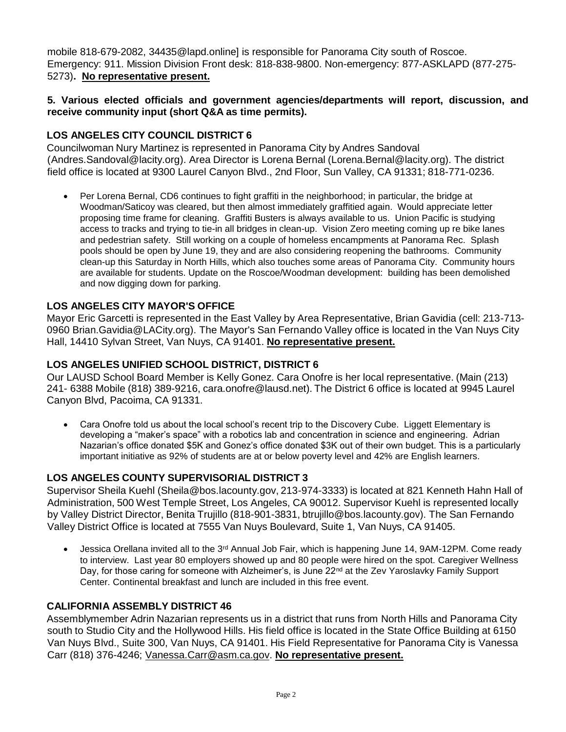mobile 818-679-208[2, 34435@lapd.online](mailto:34435@lapd.online)] is responsible for Panorama City south of Roscoe. Emergency: 911. Mission Division Front desk: 818-838-9800. Non-emergency: 877-ASKLAPD (877-275- 5273)**. No representative present.**

#### **5. Various elected officials and government agencies/departments will report, discussion, and receive community input (short Q&A as time permits).**

# **LOS ANGELES CITY COUNCIL DISTRICT 6**

Councilwoman Nury Martinez is represented in Panorama City by Andres Sandoval (Andre[s.Sandoval@lacity.org](mailto:Sandoval@lacity.org)). Area Director is Lorena Bernal (Lore[na.Bernal@lacity.org\)](mailto:Bernal@lacity.org). The district field office is located at 9300 Laurel Canyon Blvd., 2nd Floor, Sun Valley, CA 91331; 818-771-0236.

• Per Lorena Bernal, CD6 continues to fight graffiti in the neighborhood; in particular, the bridge at Woodman/Saticoy was cleared, but then almost immediately graffitied again. Would appreciate letter proposing time frame for cleaning. Graffiti Busters is always available to us. Union Pacific is studying access to tracks and trying to tie-in all bridges in clean-up. Vision Zero meeting coming up re bike lanes and pedestrian safety. Still working on a couple of homeless encampments at Panorama Rec. Splash pools should be open by June 19, they and are also considering reopening the bathrooms. Community clean-up this Saturday in North Hills, which also touches some areas of Panorama City. Community hours are available for students. Update on the Roscoe/Woodman development: building has been demolished and now digging down for parking.

# **LOS ANGELES CITY MAYOR'S OFFICE**

Mayor Eric Garcetti is represented in the East Valley by Area Representative, Brian Gavidia (cell: 213-713- 0960 Bri[an.Gavidia@LACity.org\)](mailto:Gavidia@LACity.org). The Mayor's San Fernando Valley office is located in the Van Nuys City Hall, 14410 Sylvan Street, Van Nuys, CA 91401. **No representative present.**

### **LOS ANGELES UNIFIED SCHOOL DISTRICT, DISTRICT 6**

Our LAUSD School Board Member is Kelly Gonez. Cara Onofre is her local representative. (Main (213) 241- 6388 Mobile (818) 389-9216, [cara.onofre@lausd.net\).](mailto:onofre@lausd.net) The District 6 office is located at 9945 Laurel Canyon Blvd, Pacoima, CA 91331.

• Cara Onofre told us about the local school's recent trip to the Discovery Cube. Liggett Elementary is developing a "maker's space" with a robotics lab and concentration in science and engineering. Adrian Nazarian's office donated \$5K and Gonez's office donated \$3K out of their own budget. This is a particularly important initiative as 92% of students are at or below poverty level and 42% are English learners.

# **LOS ANGELES COUNTY SUPERVISORIAL DISTRICT 3**

Supervisor Sheila Kuehl [\(Sheila@bos.lacounty.gov,](mailto:Sheila@bos.lacounty.gov) 213-974-3333) is located at 821 Kenneth Hahn Hall of Administration, 500 West Temple Street, Los Angeles, CA 90012. Supervisor Kuehl is represented locally by Valley District Director, Benita Trujillo (818-901-3831, [btrujillo@bos.lacounty.gov\)](mailto:btrujillo@bos.lacounty.gov). The San Fernando Valley District Office is located at 7555 Van Nuys Boulevard, Suite 1, Van Nuys, CA 91405.

• Jessica Orellana invited all to the 3<sup>rd</sup> Annual Job Fair, which is happening June 14, 9AM-12PM. Come ready to interview. Last year 80 employers showed up and 80 people were hired on the spot. Caregiver Wellness Dav. for those caring for someone with Alzheimer's, is June 22<sup>nd</sup> at the Zev Yaroslavky Family Support Center. Continental breakfast and lunch are included in this free event.

# **CALIFORNIA ASSEMBLY DISTRICT 46**

Assemblymember Adrin Nazarian represents us in a district that runs from North Hills and Panorama City south to Studio City and the Hollywood Hills. His field office is located in the State Office Building at 6150 Van Nuys Blvd., Suite 300, Van Nuys, CA 91401. His Field Representative for Panorama City is Vanessa Carr (818) 376-4246; [Vanessa.Carr@asm.ca.gov.](mailto:Vanessa.Carr@asm.ca.gov) **No representative present.**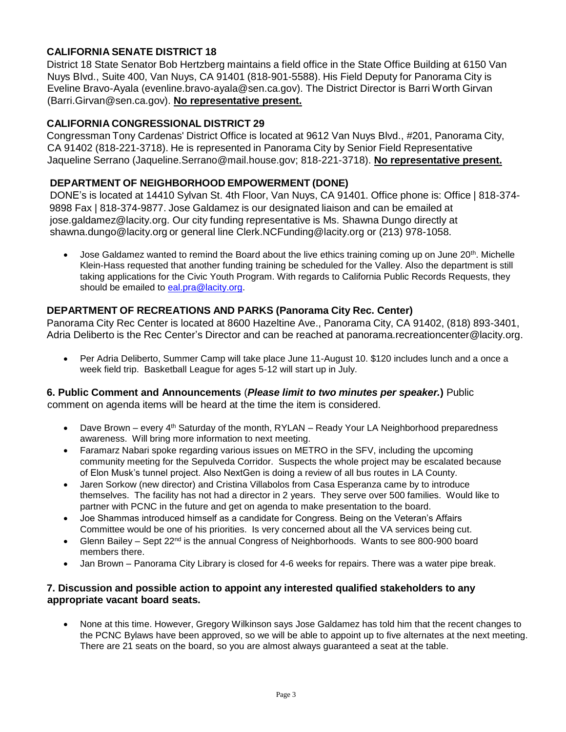# **CALIFORNIA SENATE DISTRICT 18**

District 18 State Senator Bob Hertzberg maintains a field office in the State Office Building at 6150 Van Nuys Blvd., Suite 400, Van Nuys, CA 91401 (818-901-5588). His Field Deputy for Panorama City is Eveline Bravo-Ayala (evenlin[e.bravo-ayala@sen.ca.gov\)](mailto:bravo-ayala@sen.ca.gov). The District Director is Barri Worth Girvan (Barr[i.Girvan@sen.ca.gov](mailto:Girvan@sen.ca.gov)). **No representative present.**

### **CALIFORNIA CONGRESSIONAL DISTRICT 29**

Congressman Tony Cardenas' District Office is located at 9612 Van Nuys Blvd., #201, Panorama City, CA 91402 (818-221-3718). He is represented in Panorama City by Senior Field Representative Jaqueline Serrano (Jaqueli[ne.Serrano@mail.house.gov](mailto:Serrano@mail.house.gov); 818-221-3718). **No representative present.**

### **DEPARTMENT OF NEIGHBORHOOD EMPOWERMENT (DONE)**

DONE's is located at 14410 Sylvan St. 4th Floor, Van Nuys, CA 91401. Office phone is: Office | 818-374- 9898 Fax | 818-374-9877. Jose Galdamez is our designated liaison and can be emailed at jo[se.galdamez@lacity.org.](mailto:galdamez@lacity.org) Our city funding representative is Ms. Shawna Dungo directly at sh[awna.dungo@lacity.org](mailto:dungo@lacity.org) or general line Cler[k.NCFunding@lacity.org](mailto:NCFunding@lacity.org) or (213) 978-1058.

• Jose Galdamez wanted to remind the Board about the live ethics training coming up on June 20<sup>th</sup>. Michelle Klein-Hass requested that another funding training be scheduled for the Valley. Also the department is still taking applications for the Civic Youth Program. With regards to California Public Records Requests, they should be emailed to [eal.pra@lacity.org.](mailto:eal.pra@lacity.org)

# **DEPARTMENT OF RECREATIONS AND PARKS (Panorama City Rec. Center)**

Panorama City Rec Center is located at 8600 Hazeltine Ave., Panorama City, CA 91402, (818) 893-3401, Adria Deliberto is the Rec Center's Director and can be reached at panora[ma.recreationcenter@lacity.org.](mailto:recreationcenter@lacity.org)

• Per Adria Deliberto, Summer Camp will take place June 11-August 10, \$120 includes lunch and a once a week field trip. Basketball League for ages 5-12 will start up in July.

#### **6. Public Comment and Announcements** (*Please limit to two minutes per speaker.***)** Public

comment on agenda items will be heard at the time the item is considered.

- Dave Brown every  $4<sup>th</sup>$  Saturday of the month, RYLAN Ready Your LA Neighborhood preparedness awareness. Will bring more information to next meeting.
- Faramarz Nabari spoke regarding various issues on METRO in the SFV, including the upcoming community meeting for the Sepulveda Corridor. Suspects the whole project may be escalated because of Elon Musk's tunnel project. Also NextGen is doing a review of all bus routes in LA County.
- Jaren Sorkow (new director) and Cristina Villabolos from Casa Esperanza came by to introduce themselves. The facility has not had a director in 2 years. They serve over 500 families. Would like to partner with PCNC in the future and get on agenda to make presentation to the board.
- Joe Shammas introduced himself as a candidate for Congress. Being on the Veteran's Affairs Committee would be one of his priorities. Is very concerned about all the VA services being cut.
- Glenn Bailey Sept  $22^{nd}$  is the annual Congress of Neighborhoods. Wants to see 800-900 board members there.
- Jan Brown Panorama City Library is closed for 4-6 weeks for repairs. There was a water pipe break.

#### **7. Discussion and possible action to appoint any interested qualified stakeholders to any appropriate vacant board seats.**

• None at this time. However, Gregory Wilkinson says Jose Galdamez has told him that the recent changes to the PCNC Bylaws have been approved, so we will be able to appoint up to five alternates at the next meeting. There are 21 seats on the board, so you are almost always guaranteed a seat at the table.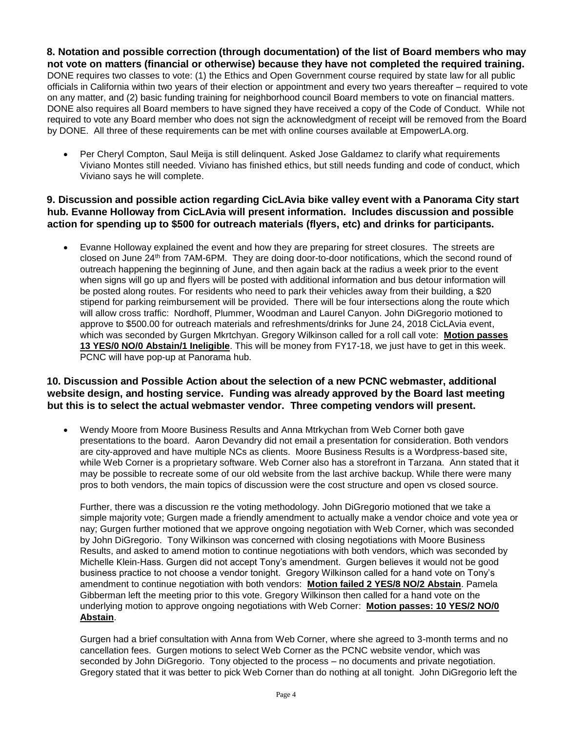**8. Notation and possible correction (through documentation) of the list of Board members who may not vote on matters (financial or otherwise) because they have not completed the required training.** DONE requires two classes to vote: (1) the Ethics and Open Government course required by state law for all public officials in California within two years of their election or appointment and every two years thereafter – required to vote on any matter, and (2) basic funding training for neighborhood council Board members to vote on financial matters. DONE also requires all Board members to have signed they have received a copy of the Code of Conduct. While not required to vote any Board member who does not sign the acknowledgment of receipt will be removed from the Board by DONE. All three of these requirements can be met with online courses available at EmpowerLA.org.

• Per Cheryl Compton, Saul Meija is still delinquent. Asked Jose Galdamez to clarify what requirements Viviano Montes still needed. Viviano has finished ethics, but still needs funding and code of conduct, which Viviano says he will complete.

#### **9. Discussion and possible action regarding CicLAvia bike valley event with a Panorama City start hub. Evanne Holloway from CicLAvia will present information. Includes discussion and possible action for spending up to \$500 for outreach materials (flyers, etc) and drinks for participants.**

• Evanne Holloway explained the event and how they are preparing for street closures. The streets are closed on June 24th from 7AM-6PM. They are doing door-to-door notifications, which the second round of outreach happening the beginning of June, and then again back at the radius a week prior to the event when signs will go up and flyers will be posted with additional information and bus detour information will be posted along routes. For residents who need to park their vehicles away from their building, a \$20 stipend for parking reimbursement will be provided. There will be four intersections along the route which will allow cross traffic: Nordhoff, Plummer, Woodman and Laurel Canyon. John DiGregorio motioned to approve to \$500.00 for outreach materials and refreshments/drinks for June 24, 2018 CicLAvia event, which was seconded by Gurgen Mkrtchyan. Gregory Wilkinson called for a roll call vote: **Motion passes 13 YES/0 NO/0 Abstain/1 Ineligible**. This will be money from FY17-18, we just have to get in this week. PCNC will have pop-up at Panorama hub.

#### **10. Discussion and Possible Action about the selection of a new PCNC webmaster, additional website design, and hosting service. Funding was already approved by the Board last meeting but this is to select the actual webmaster vendor. Three competing vendors will present.**

• Wendy Moore from Moore Business Results and Anna Mtrkychan from Web Corner both gave presentations to the board. Aaron Devandry did not email a presentation for consideration. Both vendors are city-approved and have multiple NCs as clients. Moore Business Results is a Wordpress-based site, while Web Corner is a proprietary software. Web Corner also has a storefront in Tarzana. Ann stated that it may be possible to recreate some of our old website from the last archive backup. While there were many pros to both vendors, the main topics of discussion were the cost structure and open vs closed source.

Further, there was a discussion re the voting methodology. John DiGregorio motioned that we take a simple majority vote; Gurgen made a friendly amendment to actually make a vendor choice and vote yea or nay; Gurgen further motioned that we approve ongoing negotiation with Web Corner, which was seconded by John DiGregorio. Tony Wilkinson was concerned with closing negotiations with Moore Business Results, and asked to amend motion to continue negotiations with both vendors, which was seconded by Michelle Klein-Hass. Gurgen did not accept Tony's amendment. Gurgen believes it would not be good business practice to not choose a vendor tonight. Gregory Wilkinson called for a hand vote on Tony's amendment to continue negotiation with both vendors: **Motion failed 2 YES/8 NO/2 Abstain**. Pamela Gibberman left the meeting prior to this vote. Gregory Wilkinson then called for a hand vote on the underlying motion to approve ongoing negotiations with Web Corner: **Motion passes: 10 YES/2 NO/0 Abstain**.

Gurgen had a brief consultation with Anna from Web Corner, where she agreed to 3-month terms and no cancellation fees. Gurgen motions to select Web Corner as the PCNC website vendor, which was seconded by John DiGregorio. Tony objected to the process – no documents and private negotiation. Gregory stated that it was better to pick Web Corner than do nothing at all tonight. John DiGregorio left the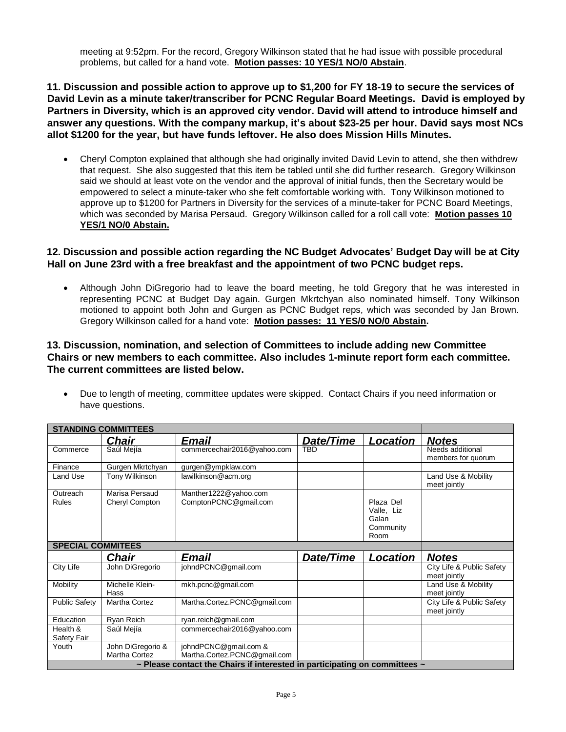meeting at 9:52pm. For the record, Gregory Wilkinson stated that he had issue with possible procedural problems, but called for a hand vote. **Motion passes: 10 YES/1 NO/0 Abstain**.

**11. Discussion and possible action to approve up to \$1,200 for FY 18-19 to secure the services of David Levin as a minute taker/transcriber for PCNC Regular Board Meetings. David is employed by Partners in Diversity, which is an approved city vendor. David will attend to introduce himself and answer any questions. With the company markup, it's about \$23-25 per hour. David says most NCs allot \$1200 for the year, but have funds leftover. He also does Mission Hills Minutes.** 

• Cheryl Compton explained that although she had originally invited David Levin to attend, she then withdrew that request. She also suggested that this item be tabled until she did further research. Gregory Wilkinson said we should at least vote on the vendor and the approval of initial funds, then the Secretary would be empowered to select a minute-taker who she felt comfortable working with. Tony Wilkinson motioned to approve up to \$1200 for Partners in Diversity for the services of a minute-taker for PCNC Board Meetings, which was seconded by Marisa Persaud. Gregory Wilkinson called for a roll call vote: **Motion passes 10 YES/1 NO/0 Abstain.**

#### **12. Discussion and possible action regarding the NC Budget Advocates' Budget Day will be at City Hall on June 23rd with a free breakfast and the appointment of two PCNC budget reps.**

• Although John DiGregorio had to leave the board meeting, he told Gregory that he was interested in representing PCNC at Budget Day again. Gurgen Mkrtchyan also nominated himself. Tony Wilkinson motioned to appoint both John and Gurgen as PCNC Budget reps, which was seconded by Jan Brown. Gregory Wilkinson called for a hand vote: **Motion passes: 11 YES/0 NO/0 Abstain.**

#### **13. Discussion, nomination, and selection of Committees to include adding new Committee Chairs or new members to each committee. Also includes 1-minute report form each committee. The current committees are listed below.**

• Due to length of meeting, committee updates were skipped. Contact Chairs if you need information or have questions.

| <b>STANDING COMMITTEES</b> |                         |                                                                                                                      |            |                                                       |                                           |
|----------------------------|-------------------------|----------------------------------------------------------------------------------------------------------------------|------------|-------------------------------------------------------|-------------------------------------------|
|                            | <b>Chair</b>            | Email                                                                                                                | Date/Time  | <b>Location</b>                                       | <b>Notes</b>                              |
| Commerce                   | Saúl Mejía              | commercechair2016@yahoo.com                                                                                          | <b>TBD</b> |                                                       | Needs additional<br>members for quorum    |
| Finance                    | Gurgen Mkrtchyan        | gurgen@ympklaw.com                                                                                                   |            |                                                       |                                           |
| Land Use                   | Tony Wilkinson          | lawilkinson@acm.org                                                                                                  |            |                                                       | Land Use & Mobility<br>meet jointly       |
| Outreach                   | Marisa Persaud          | Manther1222@yahoo.com                                                                                                |            |                                                       |                                           |
| Rules                      | Cheryl Compton          | ComptonPCNC@qmail.com                                                                                                |            | Plaza Del<br>Valle, Liz<br>Galan<br>Community<br>Room |                                           |
| <b>SPECIAL COMMITEES</b>   |                         |                                                                                                                      |            |                                                       |                                           |
|                            |                         |                                                                                                                      |            |                                                       |                                           |
|                            | <b>Chair</b>            | Email                                                                                                                | Date/Time  | Location                                              | <b>Notes</b>                              |
| City Life                  | John DiGregorio         | johndPCNC@gmail.com                                                                                                  |            |                                                       | City Life & Public Safety<br>meet jointly |
| Mobility                   | Michelle Klein-<br>Hass | mkh.pcnc@gmail.com                                                                                                   |            |                                                       | Land Use & Mobility<br>meet jointly       |
| <b>Public Safety</b>       | <b>Martha Cortez</b>    | Martha.Cortez.PCNC@gmail.com                                                                                         |            |                                                       | City Life & Public Safety<br>meet jointly |
| Education                  | Ryan Reich              | ryan.reich@gmail.com                                                                                                 |            |                                                       |                                           |
| Health &<br>Safety Fair    | Saúl Mejía              | commercechair2016@yahoo.com                                                                                          |            |                                                       |                                           |
| Youth                      | John DiGregorio &       | johndPCNC@gmail.com &                                                                                                |            |                                                       |                                           |
|                            | <b>Martha Cortez</b>    | Martha.Cortez.PCNC@gmail.com<br>$\sim$ Please contact the Chairs if interested in participating on committees $\sim$ |            |                                                       |                                           |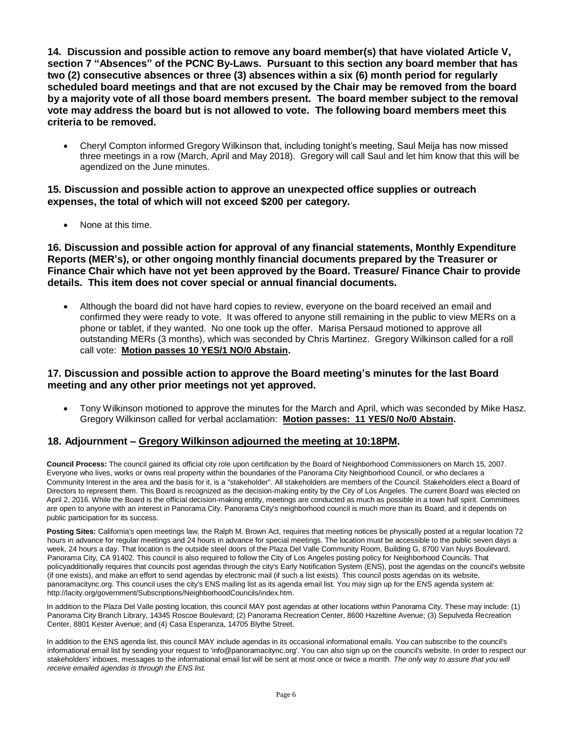**14. Discussion and possible action to remove any board member(s) that have violated Article V, section 7 "Absences" of the PCNC By-Laws. Pursuant to this section any board member that has two (2) consecutive absences or three (3) absences within a six (6) month period for regularly scheduled board meetings and that are not excused by the Chair may be removed from the board by a majority vote of all those board members present. The board member subject to the removal vote may address the board but is not allowed to vote. The following board members meet this criteria to be removed.** 

• Cheryl Compton informed Gregory Wilkinson that, including tonight's meeting, Saul Meija has now missed three meetings in a row (March, April and May 2018). Gregory will call Saul and let him know that this will be agendized on the June minutes.

#### **15. Discussion and possible action to approve an unexpected office supplies or outreach expenses, the total of which will not exceed \$200 per category.**

• None at this time.

**16. Discussion and possible action for approval of any financial statements, Monthly Expenditure Reports (MER's), or other ongoing monthly financial documents prepared by the Treasurer or Finance Chair which have not yet been approved by the Board. Treasure/ Finance Chair to provide details. This item does not cover special or annual financial documents.**

• Although the board did not have hard copies to review, everyone on the board received an email and confirmed they were ready to vote. It was offered to anyone still remaining in the public to view MERs on a phone or tablet, if they wanted. No one took up the offer. Marisa Persaud motioned to approve all outstanding MERs (3 months), which was seconded by Chris Martinez. Gregory Wilkinson called for a roll call vote: **Motion passes 10 YES/1 NO/0 Abstain.**

#### **17. Discussion and possible action to approve the Board meeting's minutes for the last Board meeting and any other prior meetings not yet approved.**

• Tony Wilkinson motioned to approve the minutes for the March and April, which was seconded by Mike Hasz. Gregory Wilkinson called for verbal acclamation: **Motion passes: 11 YES/0 No/0 Abstain.**

#### **18. Adjournment – Gregory Wilkinson adjourned the meeting at 10:18PM.**

**Council Process:** The council gained its official city role upon certification by the Board of Neighborhood Commissioners on March 15, 2007. Everyone who lives, works or owns real property within the boundaries of the Panorama City Neighborhood Council, or who declares a Community Interest in the area and the basis for it, is a "stakeholder". All stakeholders are members of the Council. Stakeholders elect a Board of Directors to represent them. This Board is recognized as the decision-making entity by the City of Los Angeles. The current Board was elected on April 2, 2016. While the Board is the official decision-making entity, meetings are conducted as much as possible in a town hall spirit. Committees are open to anyone with an interest in Panorama City. Panorama City's neighborhood council is much more than its Board, and it depends on public participation for its success.

**Posting Sites:** California's open meetings law, the Ralph M. Brown Act, requires that meeting notices be physically posted at a regular location 72 hours in advance for regular meetings and 24 hours in advance for special meetings. The location must be accessible to the public seven days a week, 24 hours a day. That location is the outside steel doors of the Plaza Del Valle Community Room, Building G, 8700 Van Nuys Boulevard, Panorama City, CA 91402. This council is also required to follow the City of Los Angeles posting policy for Neighborhood Councils. That policyadditionally requires that councils post agendas through the city's Early Notification System (ENS), post the agendas on the council's website (if one exists), and make an effort to send agendas by electronic mail (if such a list exists). This council posts agendas on its website, panoramacitync.org. This council uses the city's ENS mailing list as its agenda email list. You may sign up for the ENS agenda system a[t:](http://lacity.org/government/Subscriptions/NeighborhoodCouncils/index.htm) [http://lacity.org/government/Subscriptions/NeighborhoodCouncils/index.htm.](http://lacity.org/government/Subscriptions/NeighborhoodCouncils/index.htm)

In addition to the Plaza Del Valle posting location, this council MAY post agendas at other locations within Panorama City. These may include: (1) Panorama City Branch Library, 14345 Roscoe Boulevard; (2) Panorama Recreation Center, 8600 Hazeltine Avenue; (3) Sepulveda Recreation Center, 8801 Kester Avenue; and (4) Casa Esperanza, 14705 Blythe Street.

In addition to the ENS agenda list, this council MAY include agendas in its occasional informational emails. You can subscribe to the council's informational email list by sending your request to ['info@panoramacitync.org'.](mailto:info@panoramacitync.org) You can also sign up on the council's website. In order to respect our stakeholders' inboxes, messages to the informational email list will be sent at most once or twice a month. *The only way to assure that you will receive emailed agendas is through the ENS list.*